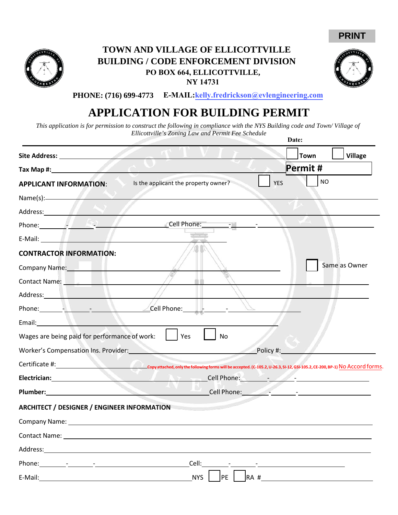



## **TOWN AND VILLAGE OF ELLICOTTVILLE BUILDING / CODE ENFORCEMENT DIVISION PO BOX 664, ELLICOTTVILLE, NY 14731**



**PHONE: (716) 699-4773 E-MAIL: kelly.fredrickson@evlengineering.com**

# **APPLICATION FOR BUILDING PERMIT**

*This application is for permission to construct the following in compliance with the NYS Building code and Town/ Village of Ellicottville's Zoning Law and Permit Fee Schedule* **Date:**

|                                                                                                                                                                                                                                                                                                 | <b>Town</b>                                                                                                                                                                                                                   | <b>Village</b> |  |
|-------------------------------------------------------------------------------------------------------------------------------------------------------------------------------------------------------------------------------------------------------------------------------------------------|-------------------------------------------------------------------------------------------------------------------------------------------------------------------------------------------------------------------------------|----------------|--|
|                                                                                                                                                                                                                                                                                                 | Permit#                                                                                                                                                                                                                       |                |  |
| <b>APPLICANT INFORMATION:</b>                                                                                                                                                                                                                                                                   | Is the applicant the property owner?<br><b>YES</b>                                                                                                                                                                            | <b>NO</b>      |  |
| $Name(s):$ and $\qquad$ and $\qquad$ and $\qquad$ and $\qquad$ and $\qquad$ and $\qquad$ and $\qquad$ and $\qquad$ and $\qquad$ and $\qquad$ and $\qquad$ and $\qquad$ and $\qquad$ and $\qquad$ and $\qquad$ and $\qquad$ and $\qquad$ and $\qquad$ and $\qquad$ and $\qquad$ and $\qquad$ and |                                                                                                                                                                                                                               |                |  |
| Address: Andreas Address:                                                                                                                                                                                                                                                                       |                                                                                                                                                                                                                               |                |  |
|                                                                                                                                                                                                                                                                                                 | Phone: 2008. [Cell Phone: 2008.] [Cell Phone: 2008.]                                                                                                                                                                          |                |  |
| E-Mail: Albert Mail: Albert Mail: Albert Mail: Albert Mail: Albert Mail: Albert Mail: Albert Mail: Albert Mail: Albert Mail: Albert Mail: Albert Mail: Albert Mail: Albert Mail: Albert Mail: Albert Mail: Albert Mail: Albert                                                                  |                                                                                                                                                                                                                               |                |  |
| <b>CONTRACTOR INFORMATION:</b>                                                                                                                                                                                                                                                                  |                                                                                                                                                                                                                               |                |  |
| Company Name: Name                                                                                                                                                                                                                                                                              |                                                                                                                                                                                                                               | Same as Owner  |  |
| Contact Name: Name and South American Services                                                                                                                                                                                                                                                  |                                                                                                                                                                                                                               |                |  |
| Address: Address:                                                                                                                                                                                                                                                                               |                                                                                                                                                                                                                               |                |  |
|                                                                                                                                                                                                                                                                                                 | Phone: $\frac{1}{2}$ , $\frac{1}{2}$ , $\frac{1}{2}$ , $\frac{1}{2}$ , $\frac{1}{2}$ , $\frac{1}{2}$                                                                                                                          |                |  |
| Email: The Communication of the Communication of the Communication of the Communication of the Communication of the Communication of the Communication of the Communication of the Communication of the Communication of the C                                                                  |                                                                                                                                                                                                                               |                |  |
| Wages are being paid for performance of work:                                                                                                                                                                                                                                                   | Yes<br>No                                                                                                                                                                                                                     |                |  |
|                                                                                                                                                                                                                                                                                                 | Worker's Compensation Ins. Provider: North Management Policy #:                                                                                                                                                               |                |  |
|                                                                                                                                                                                                                                                                                                 | Copy attached, only the following forms will be accepted. (C-105.2, U-26.3, SI-12, GSI-105.2, CE-200, BP-1) No Accord forms.                                                                                                  |                |  |
| Electrician: Electrician and the state of the state of the state of the state of the state of the state of the                                                                                                                                                                                  | STANT.                                                                                                                                                                                                                        |                |  |
| <b>Plumber: Example 2018</b>                                                                                                                                                                                                                                                                    | Cell Phone: 2008 - 2009 - 2009 - 2009 - 2009 - 2009 - 2009 - 2009 - 2009 - 2009 - 2009 - 2009 - 2009 - 2009 - 2009 - 2009 - 2009 - 2009 - 2009 - 2009 - 2009 - 2009 - 2009 - 2009 - 2009 - 2009 - 2009 - 2009 - 2009 - 2009 - |                |  |
| <b>ARCHITECT / DESIGNER / ENGINEER INFORMATION</b>                                                                                                                                                                                                                                              |                                                                                                                                                                                                                               |                |  |
| Company Name: University of the Company Name:                                                                                                                                                                                                                                                   |                                                                                                                                                                                                                               |                |  |
| Contact Name:                                                                                                                                                                                                                                                                                   |                                                                                                                                                                                                                               |                |  |
| Address:                                                                                                                                                                                                                                                                                        |                                                                                                                                                                                                                               |                |  |
|                                                                                                                                                                                                                                                                                                 | Cell:                                                                                                                                                                                                                         |                |  |
|                                                                                                                                                                                                                                                                                                 |                                                                                                                                                                                                                               |                |  |